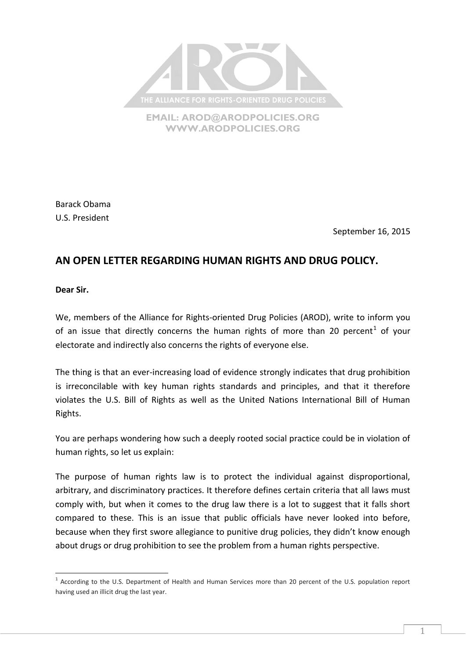

**EMAIL: [AROD@ARODPOLICIES.ORG](mailto:AROD@ARODPOLICIES.ORG) [WWW.ARODPOLICIES.ORG](http://www.arodpolicies.org/)**

Barack Obama U.S. President

September 16, 2015

## **AN OPEN LETTER REGARDING HUMAN RIGHTS AND DRUG POLICY.**

**Dear Sir.**

We, members of the Alliance for Rights-oriented Drug Policies (AROD), write to inform you of an issue that directly concerns the human rights of more than 20 percent<sup>1</sup> of your electorate and indirectly also concerns the rights of everyone else.

The thing is that an ever-increasing load of evidence strongly indicates that drug prohibition is irreconcilable with key human rights standards and principles, and that it therefore violates the U.S. Bill of Rights as well as the United Nations International Bill of Human Rights.

You are perhaps wondering how such a deeply rooted social practice could be in violation of human rights, so let us explain:

The purpose of human rights law is to protect the individual against disproportional, arbitrary, and discriminatory practices. It therefore defines certain criteria that all laws must comply with, but when it comes to the drug law there is a lot to suggest that it falls short compared to these. This is an issue that public officials have never looked into before, because when they first swore allegiance to punitive drug policies, they didn't know enough about drugs or drug prohibition to see the problem from a human rights perspective.

 $\overline{a}$ <sup>1</sup> According to the U.S. Department of Health and Human Services more than 20 percent of the U.S. population report having used an illicit drug the last year.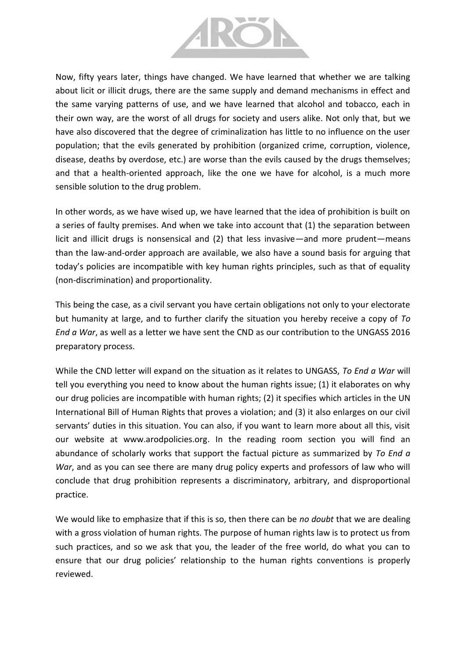

Now, fifty years later, things have changed. We have learned that whether we are talking about licit or illicit drugs, there are the same supply and demand mechanisms in effect and the same varying patterns of use, and we have learned that alcohol and tobacco, each in their own way, are the worst of all drugs for society and users alike. Not only that, but we have also discovered that the degree of criminalization has little to no influence on the user population; that the evils generated by prohibition (organized crime, corruption, violence, disease, deaths by overdose, etc.) are worse than the evils caused by the drugs themselves; and that a health-oriented approach, like the one we have for alcohol, is a much more sensible solution to the drug problem.

In other words, as we have wised up, we have learned that the idea of prohibition is built on a series of faulty premises. And when we take into account that (1) the separation between licit and illicit drugs is nonsensical and (2) that less invasive—and more prudent—means than the law-and-order approach are available, we also have a sound basis for arguing that today's policies are incompatible with key human rights principles, such as that of equality (non-discrimination) and proportionality.

This being the case, as a civil servant you have certain obligations not only to your electorate but humanity at large, and to further clarify the situation you hereby receive a copy of *To End a War*, as well as a letter we have sent the CND as our contribution to the UNGASS 2016 preparatory process.

While the CND letter will expand on the situation as it relates to UNGASS, *To End a War* will tell you everything you need to know about the human rights issue; (1) it elaborates on why our drug policies are incompatible with human rights; (2) it specifies which articles in the UN International Bill of Human Rights that proves a violation; and (3) it also enlarges on our civil servants' duties in this situation. You can also, if you want to learn more about all this, visit our website at www.arodpolicies.org. In the reading room section you will find an abundance of scholarly works that support the factual picture as summarized by *To End a War*, and as you can see there are many drug policy experts and professors of law who will conclude that drug prohibition represents a discriminatory, arbitrary, and disproportional practice.

We would like to emphasize that if this is so, then there can be *no doubt* that we are dealing with a gross violation of human rights. The purpose of human rights law is to protect us from such practices, and so we ask that you, the leader of the free world, do what you can to ensure that our drug policies' relationship to the human rights conventions is properly reviewed.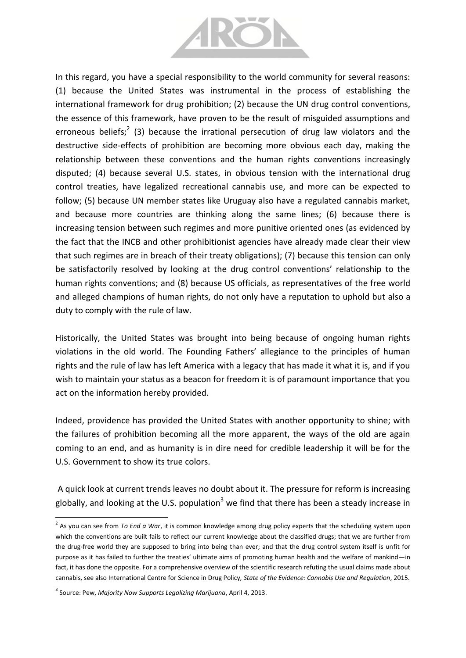

In this regard, you have a special responsibility to the world community for several reasons: (1) because the United States was instrumental in the process of establishing the international framework for drug prohibition; (2) because the UN drug control conventions, the essence of this framework, have proven to be the result of misguided assumptions and erroneous beliefs;<sup>2</sup> (3) because the irrational persecution of drug law violators and the destructive side-effects of prohibition are becoming more obvious each day, making the relationship between these conventions and the human rights conventions increasingly disputed; (4) because several U.S. states, in obvious tension with the international drug control treaties, have legalized recreational cannabis use, and more can be expected to follow; (5) because UN member states like Uruguay also have a regulated cannabis market, and because more countries are thinking along the same lines; (6) because there is increasing tension between such regimes and more punitive oriented ones (as evidenced by the fact that the INCB and other prohibitionist agencies have already made clear their view that such regimes are in breach of their treaty obligations); (7) because this tension can only be satisfactorily resolved by looking at the drug control conventions' relationship to the human rights conventions; and (8) because US officials, as representatives of the free world and alleged champions of human rights, do not only have a reputation to uphold but also a duty to comply with the rule of law.

Historically, the United States was brought into being because of ongoing human rights violations in the old world. The Founding Fathers' allegiance to the principles of human rights and the rule of law has left America with a legacy that has made it what it is, and if you wish to maintain your status as a beacon for freedom it is of paramount importance that you act on the information hereby provided.

Indeed, providence has provided the United States with another opportunity to shine; with the failures of prohibition becoming all the more apparent, the ways of the old are again coming to an end, and as humanity is in dire need for credible leadership it will be for the U.S. Government to show its true colors.

A quick look at current trends leaves no doubt about it. The pressure for reform is increasing globally, and looking at the U.S. population<sup>3</sup> we find that there has been a steady increase in

l

<sup>2</sup> As you can see from *To End a War*, it is common knowledge among drug policy experts that the scheduling system upon which the conventions are built fails to reflect our current knowledge about the classified drugs; that we are further from the drug-free world they are supposed to bring into being than ever; and that the drug control system itself is unfit for purpose as it has failed to further the treaties' ultimate aims of promoting human health and the welfare of mankind—in fact, it has done the opposite. For a comprehensive overview of the scientific research refuting the usual claims made about cannabis, see also International Centre for Science in Drug Policy*, State of the Evidence: Cannabis Use and Regulation*, 2015.

<sup>3</sup> Source: Pew, *Majority Now Supports Legalizing Marijuana*, April 4, 2013.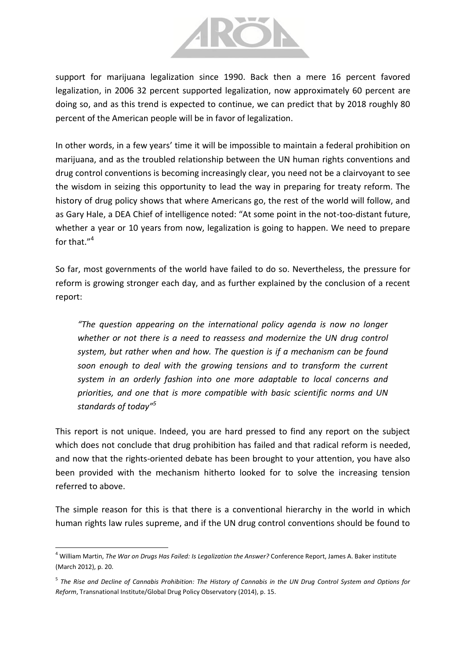

support for marijuana legalization since 1990. Back then a mere 16 percent favored legalization, in 2006 32 percent supported legalization, now approximately 60 percent are doing so, and as this trend is expected to continue, we can predict that by 2018 roughly 80 percent of the American people will be in favor of legalization.

In other words, in a few years' time it will be impossible to maintain a federal prohibition on marijuana, and as the troubled relationship between the UN human rights conventions and drug control conventions is becoming increasingly clear, you need not be a clairvoyant to see the wisdom in seizing this opportunity to lead the way in preparing for treaty reform. The history of drug policy shows that where Americans go, the rest of the world will follow, and as Gary Hale, a DEA Chief of intelligence noted: "At some point in the not-too-distant future, whether a year or 10 years from now, legalization is going to happen. We need to prepare for that."<sup>4</sup>

So far, most governments of the world have failed to do so. Nevertheless, the pressure for reform is growing stronger each day, and as further explained by the conclusion of a recent report:

*"The question appearing on the international policy agenda is now no longer whether or not there is a need to reassess and modernize the UN drug control system, but rather when and how. The question is if a mechanism can be found soon enough to deal with the growing tensions and to transform the current system in an orderly fashion into one more adaptable to local concerns and priorities, and one that is more compatible with basic scientific norms and UN standards of today"<sup>5</sup>*

This report is not unique. Indeed, you are hard pressed to find any report on the subject which does not conclude that drug prohibition has failed and that radical reform is needed, and now that the rights-oriented debate has been brought to your attention, you have also been provided with the mechanism hitherto looked for to solve the increasing tension referred to above.

The simple reason for this is that there is a conventional hierarchy in the world in which human rights law rules supreme, and if the UN drug control conventions should be found to

 $\overline{a}$ 

<sup>4</sup> William Martin, *The War on Drugs Has Failed: Is Legalization the Answer?* Conference Report, James A. Baker institute (March 2012), p. 20.

<sup>&</sup>lt;sup>5</sup> The Rise and Decline of Cannabis Prohibition: The History of Cannabis in the UN Drug Control System and Options for *Reform*, Transnational Institute/Global Drug Policy Observatory (2014), p. 15.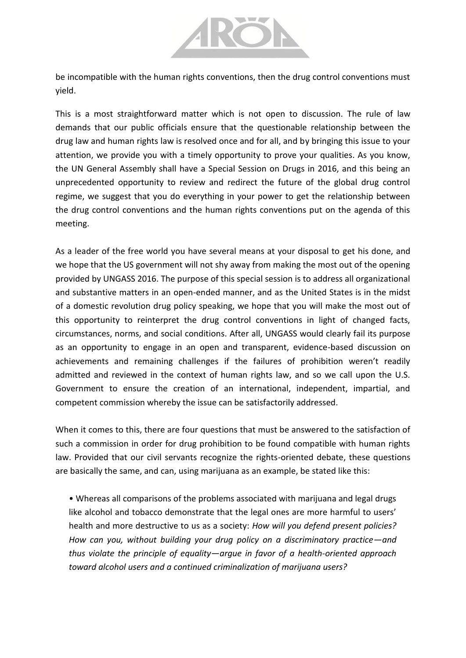

be incompatible with the human rights conventions, then the drug control conventions must yield.

This is a most straightforward matter which is not open to discussion. The rule of law demands that our public officials ensure that the questionable relationship between the drug law and human rights law is resolved once and for all, and by bringing this issue to your attention, we provide you with a timely opportunity to prove your qualities. As you know, the UN General Assembly shall have a Special Session on Drugs in 2016, and this being an unprecedented opportunity to review and redirect the future of the global drug control regime, we suggest that you do everything in your power to get the relationship between the drug control conventions and the human rights conventions put on the agenda of this meeting.

As a leader of the free world you have several means at your disposal to get his done, and we hope that the US government will not shy away from making the most out of the opening provided by UNGASS 2016. The purpose of this special session is to address all organizational and substantive matters in an open-ended manner, and as the United States is in the midst of a domestic revolution drug policy speaking, we hope that you will make the most out of this opportunity to reinterpret the drug control conventions in light of changed facts, circumstances, norms, and social conditions. After all, UNGASS would clearly fail its purpose as an opportunity to engage in an open and transparent, evidence-based discussion on achievements and remaining challenges if the failures of prohibition weren't readily admitted and reviewed in the context of human rights law, and so we call upon the U.S. Government to ensure the creation of an international, independent, impartial, and competent commission whereby the issue can be satisfactorily addressed.

When it comes to this, there are four questions that must be answered to the satisfaction of such a commission in order for drug prohibition to be found compatible with human rights law. Provided that our civil servants recognize the rights-oriented debate, these questions are basically the same, and can, using marijuana as an example, be stated like this:

• Whereas all comparisons of the problems associated with marijuana and legal drugs like alcohol and tobacco demonstrate that the legal ones are more harmful to users' health and more destructive to us as a society: *How will you defend present policies? How can you, without building your drug policy on a discriminatory practice—and thus violate the principle of equality—argue in favor of a health-oriented approach toward alcohol users and a continued criminalization of marijuana users?*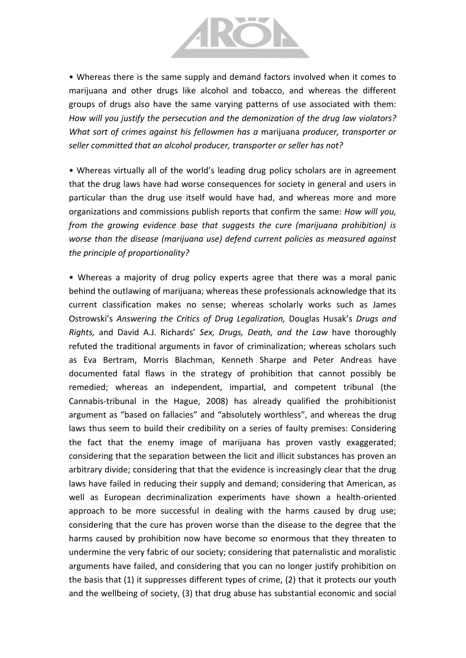

• Whereas there is the same supply and demand factors involved when it comes to marijuana and other drugs like alcohol and tobacco, and whereas the different groups of drugs also have the same varying patterns of use associated with them: *How will you justify the persecution and the demonization of the drug law violators? What sort of crimes against his fellowmen has a* marijuana *producer, transporter or seller committed that an alcohol producer, transporter or seller has not?*

• Whereas virtually all of the world's leading drug policy scholars are in agreement that the drug laws have had worse consequences for society in general and users in particular than the drug use itself would have had, and whereas more and more organizations and commissions publish reports that confirm the same: *How will you, from the growing evidence base that suggests the cure (marijuana prohibition) is worse than the disease (marijuana use) defend current policies as measured against the principle of proportionality?*

• Whereas a majority of drug policy experts agree that there was a moral panic behind the outlawing of marijuana; whereas these professionals acknowledge that its current classification makes no sense; whereas scholarly works such as James Ostrowski's *Answering the Critics of Drug Legalization,* Douglas Husak's *Drugs and Rights,* and David A.J. Richards' *Sex, Drugs, Death, and the Law* have thoroughly refuted the traditional arguments in favor of criminalization; whereas scholars such as Eva Bertram, Morris Blachman, Kenneth Sharpe and Peter Andreas have documented fatal flaws in the strategy of prohibition that cannot possibly be remedied; whereas an independent, impartial, and competent tribunal (the Cannabis-tribunal in the Hague, 2008) has already qualified the prohibitionist argument as "based on fallacies" and "absolutely worthless", and whereas the drug laws thus seem to build their credibility on a series of faulty premises: Considering the fact that the enemy image of marijuana has proven vastly exaggerated; considering that the separation between the licit and illicit substances has proven an arbitrary divide; considering that that the evidence is increasingly clear that the drug laws have failed in reducing their supply and demand; considering that American, as well as European decriminalization experiments have shown a health-oriented approach to be more successful in dealing with the harms caused by drug use; considering that the cure has proven worse than the disease to the degree that the harms caused by prohibition now have become so enormous that they threaten to undermine the very fabric of our society; considering that paternalistic and moralistic arguments have failed, and considering that you can no longer justify prohibition on the basis that (1) it suppresses different types of crime, (2) that it protects our youth and the wellbeing of society, (3) that drug abuse has substantial economic and social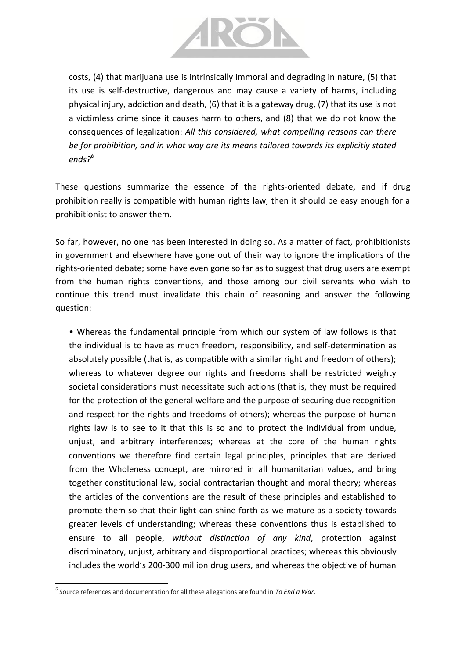

costs, (4) that marijuana use is intrinsically immoral and degrading in nature, (5) that its use is self-destructive, dangerous and may cause a variety of harms, including physical injury, addiction and death, (6) that it is a gateway drug, (7) that its use is not a victimless crime since it causes harm to others, and (8) that we do not know the consequences of legalization: *All this considered, what compelling reasons can there be for prohibition, and in what way are its means tailored towards its explicitly stated ends?<sup>6</sup>*

These questions summarize the essence of the rights-oriented debate, and if drug prohibition really is compatible with human rights law, then it should be easy enough for a prohibitionist to answer them.

So far, however, no one has been interested in doing so. As a matter of fact, prohibitionists in government and elsewhere have gone out of their way to ignore the implications of the rights-oriented debate; some have even gone so far as to suggest that drug users are exempt from the human rights conventions, and those among our civil servants who wish to continue this trend must invalidate this chain of reasoning and answer the following question:

• Whereas the fundamental principle from which our system of law follows is that the individual is to have as much freedom, responsibility, and self-determination as absolutely possible (that is, as compatible with a similar right and freedom of others); whereas to whatever degree our rights and freedoms shall be restricted weighty societal considerations must necessitate such actions (that is, they must be required for the protection of the general welfare and the purpose of securing due recognition and respect for the rights and freedoms of others); whereas the purpose of human rights law is to see to it that this is so and to protect the individual from undue, unjust, and arbitrary interferences; whereas at the core of the human rights conventions we therefore find certain legal principles, principles that are derived from the Wholeness concept, are mirrored in all humanitarian values, and bring together constitutional law, social contractarian thought and moral theory; whereas the articles of the conventions are the result of these principles and established to promote them so that their light can shine forth as we mature as a society towards greater levels of understanding; whereas these conventions thus is established to ensure to all people, *without distinction of any kind*, protection against discriminatory, unjust, arbitrary and disproportional practices; whereas this obviously includes the world's 200-300 million drug users, and whereas the objective of human

l

<sup>6</sup> Source references and documentation for all these allegations are found in *To End a War*.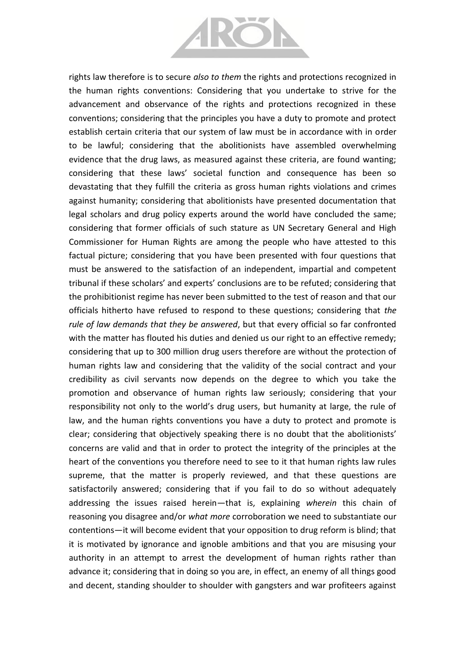

rights law therefore is to secure *also to them* the rights and protections recognized in the human rights conventions: Considering that you undertake to strive for the advancement and observance of the rights and protections recognized in these conventions; considering that the principles you have a duty to promote and protect establish certain criteria that our system of law must be in accordance with in order to be lawful; considering that the abolitionists have assembled overwhelming evidence that the drug laws, as measured against these criteria, are found wanting; considering that these laws' societal function and consequence has been so devastating that they fulfill the criteria as gross human rights violations and crimes against humanity; considering that abolitionists have presented documentation that legal scholars and drug policy experts around the world have concluded the same; considering that former officials of such stature as UN Secretary General and High Commissioner for Human Rights are among the people who have attested to this factual picture; considering that you have been presented with four questions that must be answered to the satisfaction of an independent, impartial and competent tribunal if these scholars' and experts' conclusions are to be refuted; considering that the prohibitionist regime has never been submitted to the test of reason and that our officials hitherto have refused to respond to these questions; considering that *the rule of law demands that they be answered*, but that every official so far confronted with the matter has flouted his duties and denied us our right to an effective remedy; considering that up to 300 million drug users therefore are without the protection of human rights law and considering that the validity of the social contract and your credibility as civil servants now depends on the degree to which you take the promotion and observance of human rights law seriously; considering that your responsibility not only to the world's drug users, but humanity at large, the rule of law, and the human rights conventions you have a duty to protect and promote is clear; considering that objectively speaking there is no doubt that the abolitionists' concerns are valid and that in order to protect the integrity of the principles at the heart of the conventions you therefore need to see to it that human rights law rules supreme, that the matter is properly reviewed, and that these questions are satisfactorily answered; considering that if you fail to do so without adequately addressing the issues raised herein—that is, explaining *wherein* this chain of reasoning you disagree and/or *what more* corroboration we need to substantiate our contentions—it will become evident that your opposition to drug reform is blind; that it is motivated by ignorance and ignoble ambitions and that you are misusing your authority in an attempt to arrest the development of human rights rather than advance it; considering that in doing so you are, in effect, an enemy of all things good and decent, standing shoulder to shoulder with gangsters and war profiteers against